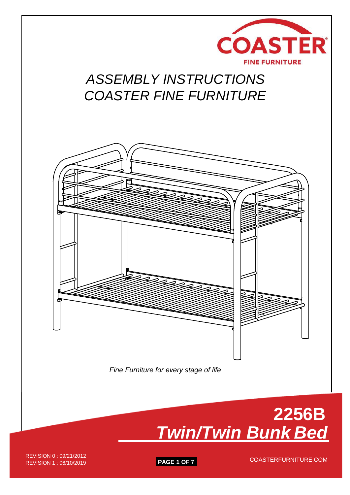

# *ASSEMBLY INSTRUCTIONS COASTER FINE FURNITURE*





REVISION 1 : 06/10/2019 **PAGE 1 OF 7** REVISION 0 : 09/21/2012<br>REVISION 1 : 06/10/2010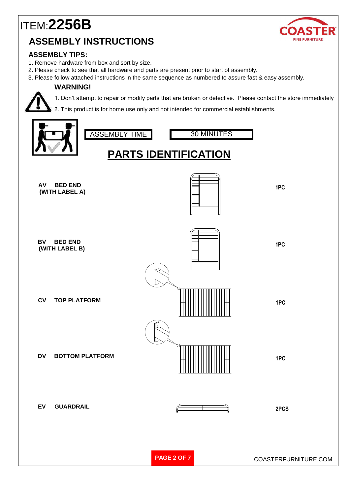

### **ASSEMBLY TIPS:**

- 1. Remove hardware from box and sort by size.
- 2. Please check to see that all hardware and parts are present prior to start of assembly.
- 3. Please follow attached instructions in the same sequence as numbered to assure fast & easy assembly.

#### **WARNING!**



1. Don't attempt to repair or modify parts that are broken or defective. Please contact the store immediately

2. This product is for home use only and not intended for commercial establishments.

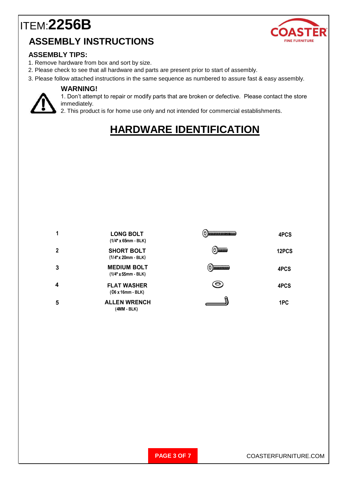

#### **ASSEMBLY TIPS:**

- 1. Remove hardware from box and sort by size.
- 2. Please check to see that all hardware and parts are present prior to start of assembly.
- 3. Please follow attached instructions in the same sequence as numbered to assure fast & easy assembly.

#### **WARNING!**



1. Don't attempt to repair or modify parts that are broken or defective. Please contact the store immediately.

2. This product is for home use only and not intended for commercial establishments.

## **HARDWARE IDENTIFICATION**

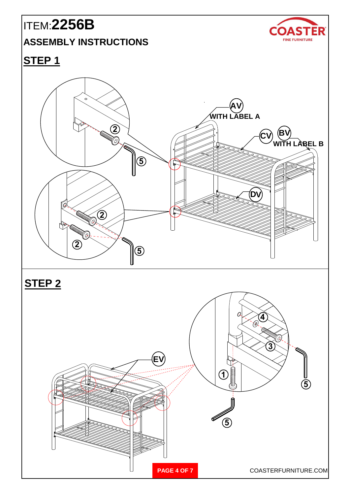# ITEM:**2256B**

## **ASSEMBLY INSTRUCTIONS**



**STEP 1**



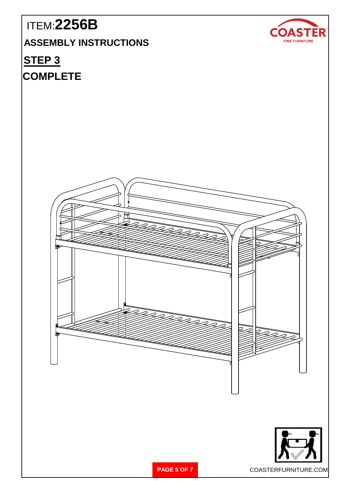# ITEM:**2256B**

**ASSEMBLY INSTRUCTIONS**

## **STEP 3**

## **COMPLETE**







**PAGE 5 OF 7** COASTERFURNITURE.COM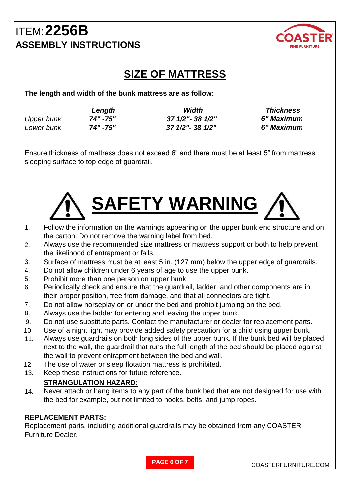

## **SIZE OF MATTRESS**

**The length and width of the bunk mattress are as follow:**

|                   | Length   | Width             | <b>Thickness</b> |
|-------------------|----------|-------------------|------------------|
| <b>Upper bunk</b> | 74" -75" | 37 1/2" - 38 1/2" | 6" Maximum       |
| Lower bunk        | 74" -75" | 37 1/2"- 38 1/2"  | 6" Maximum       |

Ensure thickness of mattress does not exceed 6" and there must be at least 5" from mattress sleeping surface to top edge of guardrail.



- 1. Follow the information on the warnings appearing on the upper bunk end structure and on the carton. Do not remove the warning label from bed.
- 2. Always use the recommended size mattress or mattress support or both to help prevent the likelihood of entrapment or falls.
- 3. Surface of mattress must be at least 5 in. (127 mm) below the upper edge of guardrails.
- 4. Do not allow children under 6 years of age to use the upper bunk.
- 5. Prohibit more than one person on upper bunk.
- 6. Periodically check and ensure that the guardrail, ladder, and other components are in their proper position, free from damage, and that all connectors are tight.
- 7. Do not allow horseplay on or under the bed and prohibit jumping on the bed.
- 8. Always use the ladder for entering and leaving the upper bunk.
- 9. Do not use substitute parts. Contact the manufacturer or dealer for replacement parts.
- 10. Use of a night light may provide added safety precaution for a child using upper bunk.
- 11. Always use guardrails on both long sides of the upper bunk. If the bunk bed will be placed next to the wall, the guardrail that runs the full length of the bed should be placed against the wall to prevent entrapment between the bed and wall.
- 12. The use of water or sleep flotation mattress is prohibited.
- 13. Keep these instructions for future reference.

### **STRANGULATION HAZARD:**

14. Never attach or hang items to any part of the bunk bed that are not designed for use with the bed for example, but not limited to hooks, belts, and jump ropes.

### **REPLACEMENT PARTS:**

Replacement parts, including additional guardrails may be obtained from any COASTER Furniture Dealer.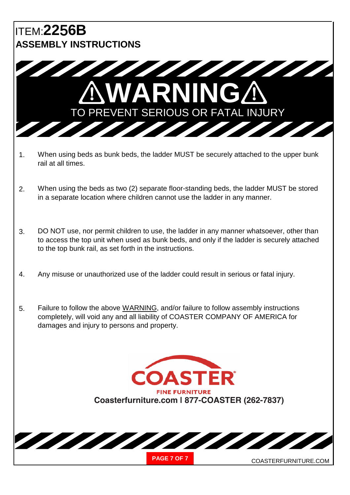

- 1. When using beds as bunk beds, the ladder MUST be securely attached to the upper bunk rail at all times.
- 2. When using the beds as two (2) separate floor-standing beds, the ladder MUST be stored in a separate location where children cannot use the ladder in any manner.
- 3. DO NOT use, nor permit children to use, the ladder in any manner whatsoever, other than to access the top unit when used as bunk beds, and only if the ladder is securely attached to the top bunk rail, as set forth in the instructions.
- 4. Any misuse or unauthorized use of the ladder could result in serious or fatal injury.
- 5. Failure to follow the above WARNING, and/or failure to follow assembly instructions completely, will void any and all liability of COASTER COMPANY OF AMERICA for damages and injury to persons and property.

**ASTER FINE FURNITURE Coasterfurniture.com | 877-COASTER (262-7837)**